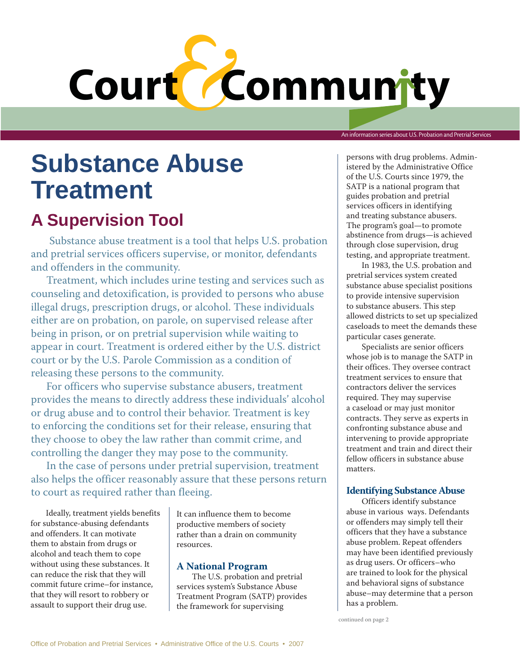# Court Community

An information series about U.S. Probation and Pretrial Services

## **Substance Abuse Treatment**

### **A Supervision Tool**

Substance abuse treatment is a tool that helps U.S. probation and pretrial services officers supervise, or monitor, defendants and offenders in the community.

Treatment, which includes urine testing and services such as counseling and detoxification, is provided to persons who abuse illegal drugs, prescription drugs, or alcohol. These individuals either are on probation, on parole, on supervised release after being in prison, or on pretrial supervision while waiting to appear in court. Treatment is ordered either by the U.S. district court or by the U.S. Parole Commission as a condition of releasing these persons to the community.

For officers who supervise substance abusers, treatment provides the means to directly address these individuals' alcohol or drug abuse and to control their behavior. Treatment is key to enforcing the conditions set for their release, ensuring that they choose to obey the law rather than commit crime, and controlling the danger they may pose to the community.

In the case of persons under pretrial supervision, treatment also helps the officer reasonably assure that these persons return to court as required rather than fleeing.

Ideally, treatment yields benefits for substance-abusing defendants and offenders. It can motivate them to abstain from drugs or alcohol and teach them to cope without using these substances. It can reduce the risk that they will commit future crime–for instance, that they will resort to robbery or assault to support their drug use.

It can influence them to become productive members of society rather than a drain on community resources.

#### **A National Program**

The U.S. probation and pretrial services system's Substance Abuse Treatment Program (SATP) provides the framework for supervising

persons with drug problems. Administered by the Administrative Office of the U.S. Courts since 1979, the SATP is a national program that guides probation and pretrial services officers in identifying and treating substance abusers. The program's goal—to promote abstinence from drugs—is achieved through close supervision, drug testing, and appropriate treatment.

In 1983, the U.S. probation and pretrial services system created substance abuse specialist positions to provide intensive supervision to substance abusers. This step allowed districts to set up specialized caseloads to meet the demands these particular cases generate.

Specialists are senior officers whose job is to manage the SATP in their offices. They oversee contract treatment services to ensure that contractors deliver the services required. They may supervise a caseload or may just monitor contracts. They serve as experts in confronting substance abuse and intervening to provide appropriate treatment and train and direct their fellow officers in substance abuse matters.

#### **Identifying Substance Abuse**

Officers identify substance abuse in various ways. Defendants or offenders may simply tell their officers that they have a substance abuse problem. Repeat offenders may have been identified previously as drug users. Or officers–who are trained to look for the physical and behavioral signs of substance abuse–may determine that a person has a problem.

continued on page 2